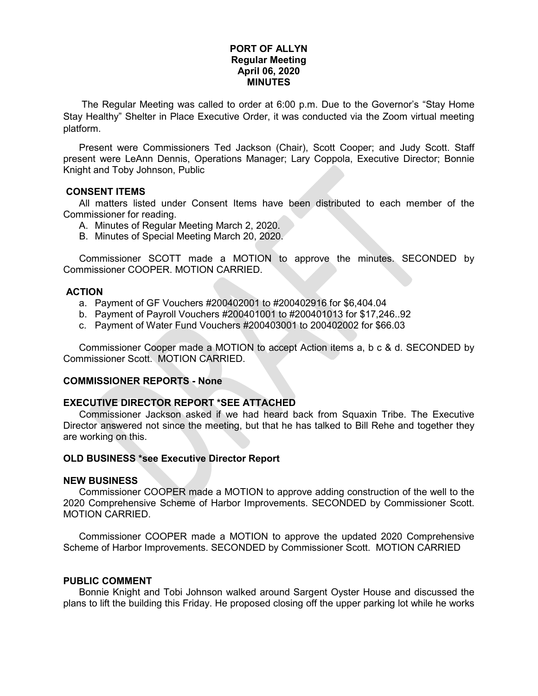## **PORT OF ALLYN Regular Meeting April 06, 2020 MINUTES**

The Regular Meeting was called to order at 6:00 p.m. Due to the Governor's "Stay Home Stay Healthy" Shelter in Place Executive Order, it was conducted via the Zoom virtual meeting platform.

Present were Commissioners Ted Jackson (Chair), Scott Cooper; and Judy Scott. Staff present were LeAnn Dennis, Operations Manager; Lary Coppola, Executive Director; Bonnie Knight and Toby Johnson, Public

#### **CONSENT ITEMS**

All matters listed under Consent Items have been distributed to each member of the Commissioner for reading.

- A. Minutes of Regular Meeting March 2, 2020.
- B. Minutes of Special Meeting March 20, 2020.

Commissioner SCOTT made a MOTION to approve the minutes. SECONDED by Commissioner COOPER. MOTION CARRIED.

## **ACTION**

- a. Payment of GF Vouchers #200402001 to #200402916 for \$6,404.04
- b. Payment of Payroll Vouchers #200401001 to #200401013 for \$17,246..92
- c. Payment of Water Fund Vouchers #200403001 to 200402002 for \$66.03

Commissioner Cooper made a MOTION to accept Action items a, b c & d. SECONDED by Commissioner Scott. MOTION CARRIED.

#### **COMMISSIONER REPORTS - None**

### **EXECUTIVE DIRECTOR REPORT \*SEE ATTACHED**

Commissioner Jackson asked if we had heard back from Squaxin Tribe. The Executive Director answered not since the meeting, but that he has talked to Bill Rehe and together they are working on this.

#### **OLD BUSINESS \*see Executive Director Report**

#### **NEW BUSINESS**

Commissioner COOPER made a MOTION to approve adding construction of the well to the 2020 Comprehensive Scheme of Harbor Improvements. SECONDED by Commissioner Scott. MOTION CARRIED.

Commissioner COOPER made a MOTION to approve the updated 2020 Comprehensive Scheme of Harbor Improvements. SECONDED by Commissioner Scott. MOTION CARRIED

#### **PUBLIC COMMENT**

Bonnie Knight and Tobi Johnson walked around Sargent Oyster House and discussed the plans to lift the building this Friday. He proposed closing off the upper parking lot while he works